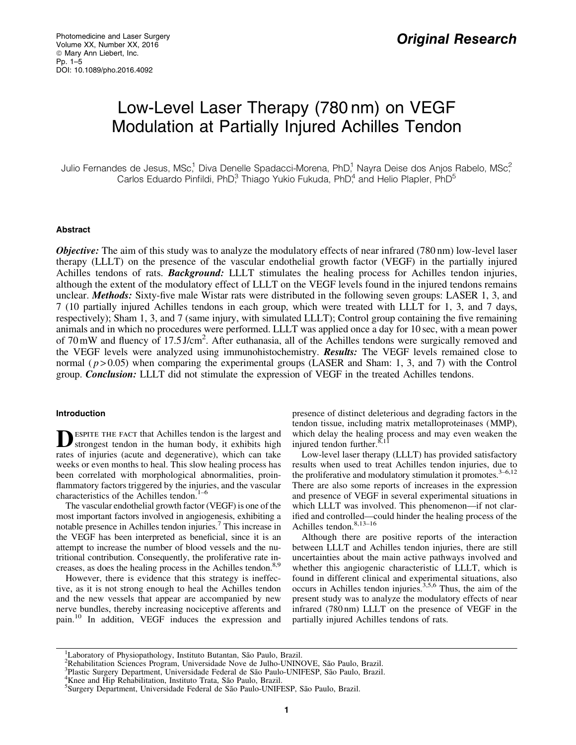# Low-Level Laser Therapy (780 nm) on VEGF Modulation at Partially Injured Achilles Tendon

Julio Fernandes de Jesus, MSc,<sup>1</sup> Diva Denelle Spadacci-Morena, PhD,<sup>1</sup> Nayra Deise dos Anjos Rabelo, MSc,<sup>2</sup> Carlos Eduardo Pinfildi, PhD<sup>3</sup>, Thiago Yukio Fukuda, PhD<sup>4</sup> and Helio Plapler, PhD<sup>5</sup>

## Abstract

**Objective:** The aim of this study was to analyze the modulatory effects of near infrared (780 nm) low-level laser therapy (LLLT) on the presence of the vascular endothelial growth factor (VEGF) in the partially injured Achilles tendons of rats. **Background:** LLLT stimulates the healing process for Achilles tendon injuries, although the extent of the modulatory effect of LLLT on the VEGF levels found in the injured tendons remains unclear. Methods: Sixty-five male Wistar rats were distributed in the following seven groups: LASER 1, 3, and 7 (10 partially injured Achilles tendons in each group, which were treated with LLLT for 1, 3, and 7 days, respectively); Sham 1, 3, and 7 (same injury, with simulated LLLT); Control group containing the five remaining animals and in which no procedures were performed. LLLT was applied once a day for 10 sec, with a mean power of 70 mW and fluency of 17.5 J/cm<sup>2</sup>. After euthanasia, all of the Achilles tendons were surgically removed and the VEGF levels were analyzed using immunohistochemistry. **Results:** The VEGF levels remained close to normal ( $p > 0.05$ ) when comparing the experimental groups (LASER and Sham: 1, 3, and 7) with the Control group. Conclusion: LLLT did not stimulate the expression of VEGF in the treated Achilles tendons.

# Introduction

**DESPITE THE FACT that Achilles tendon is the largest and strongest tendon in the human body, it exhibits high** rates of injuries (acute and degenerative), which can take weeks or even months to heal. This slow healing process has been correlated with morphological abnormalities, proinflammatory factors triggered by the injuries, and the vascular characteristics of the Achilles tendon.<sup>1-6</sup>

The vascular endothelial growth factor (VEGF) is one of the most important factors involved in angiogenesis, exhibiting a notable presence in Achilles tendon injuries.<sup>7</sup> This increase in the VEGF has been interpreted as beneficial, since it is an attempt to increase the number of blood vessels and the nutritional contribution. Consequently, the proliferative rate increases, as does the healing process in the Achilles tendon.<sup>8,9</sup>

However, there is evidence that this strategy is ineffective, as it is not strong enough to heal the Achilles tendon and the new vessels that appear are accompanied by new nerve bundles, thereby increasing nociceptive afferents and pain.<sup>10</sup> In addition, VEGF induces the expression and presence of distinct deleterious and degrading factors in the tendon tissue, including matrix metalloproteinases (MMP), which delay the healing process and may even weaken the injured tendon further. $8,11$ 

Low-level laser therapy (LLLT) has provided satisfactory results when used to treat Achilles tendon injuries, due to the proliferative and modulatory stimulation it promotes. $3-6,12$ There are also some reports of increases in the expression and presence of VEGF in several experimental situations in which LLLT was involved. This phenomenon—if not clarified and controlled—could hinder the healing process of the Achilles tendon. $8,13-16$ 

Although there are positive reports of the interaction between LLLT and Achilles tendon injuries, there are still uncertainties about the main active pathways involved and whether this angiogenic characteristic of LLLT, which is found in different clinical and experimental situations, also occurs in Achilles tendon injuries.3,5,6 Thus, the aim of the present study was to analyze the modulatory effects of near infrared (780 nm) LLLT on the presence of VEGF in the partially injured Achilles tendons of rats.

<sup>&</sup>lt;sup>1</sup> Laboratory of Physiopathology, Instituto Butantan, São Paulo, Brazil.<br><sup>2</sup> Pehabilitation Sciences Program, Universidade Nove de Julho UNING

<sup>&</sup>lt;sup>2</sup>Rehabilitation Sciences Program, Universidade Nove de Julho-UNINOVE, São Paulo, Brazil.

<sup>&</sup>lt;sup>3</sup>Plastic Surgery Department, Universidade Federal de São Paulo-UNIFESP, São Paulo, Brazil.

<sup>&</sup>lt;sup>4</sup>Knee and Hip Rehabilitation, Instituto Trata, São Paulo, Brazil.

Surgery Department, Universidade Federal de São Paulo-UNIFESP, São Paulo, Brazil.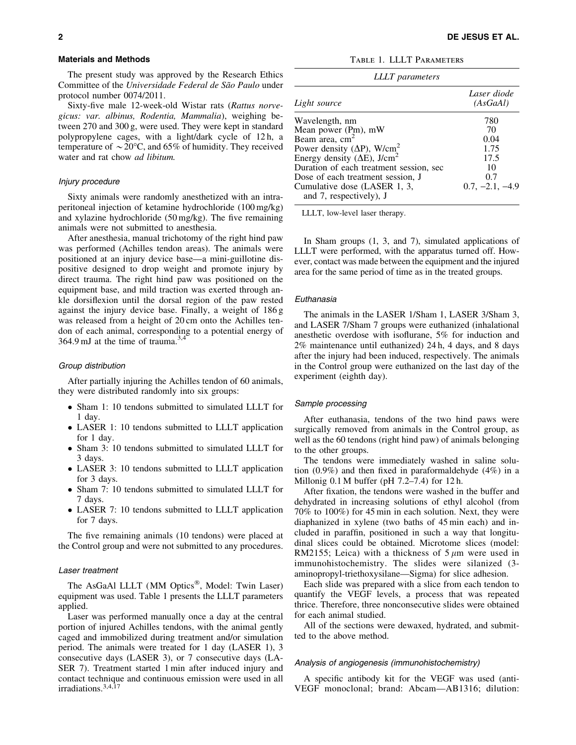#### Materials and Methods

The present study was approved by the Research Ethics Committee of the *Universidade Federal de São Paulo* under protocol number 0074/2011.

Sixty-five male 12-week-old Wistar rats (*Rattus norvegicus: var. albinus, Rodentia, Mammalia*), weighing between 270 and 300 g, were used. They were kept in standard polypropylene cages, with a light/dark cycle of 12 h, a temperature of  $\sim$  20°C, and 65% of humidity. They received water and rat chow *ad libitum.*

## Injury procedure

Sixty animals were randomly anesthetized with an intraperitoneal injection of ketamine hydrochloride (100 mg/kg) and xylazine hydrochloride (50 mg/kg). The five remaining animals were not submitted to anesthesia.

After anesthesia, manual trichotomy of the right hind paw was performed (Achilles tendon areas). The animals were positioned at an injury device base—a mini-guillotine dispositive designed to drop weight and promote injury by direct trauma. The right hind paw was positioned on the equipment base, and mild traction was exerted through ankle dorsiflexion until the dorsal region of the paw rested against the injury device base. Finally, a weight of 186 g was released from a height of 20 cm onto the Achilles tendon of each animal, corresponding to a potential energy of 364.9 mJ at the time of trauma. $^{3,4}$ 

#### Group distribution

After partially injuring the Achilles tendon of 60 animals, they were distributed randomly into six groups:

- Sham 1: 10 tendons submitted to simulated LLLT for 1 day.
- LASER 1: 10 tendons submitted to LLLT application for 1 day.
- Sham 3: 10 tendons submitted to simulated LLLT for 3 days.
- LASER 3: 10 tendons submitted to LLLT application for 3 days.
- Sham 7: 10 tendons submitted to simulated LLLT for 7 days.
- LASER 7: 10 tendons submitted to LLLT application for 7 days.

The five remaining animals (10 tendons) were placed at the Control group and were not submitted to any procedures.

#### Laser treatment

The AsGaAl LLLT (MM Optics®, Model: Twin Laser) equipment was used. Table 1 presents the LLLT parameters applied.

Laser was performed manually once a day at the central portion of injured Achilles tendons, with the animal gently caged and immobilized during treatment and/or simulation period. The animals were treated for 1 day (LASER 1), 3 consecutive days (LASER 3), or 7 consecutive days (LA-SER 7). Treatment started 1 min after induced injury and contact technique and continuous emission were used in all irradiations.<sup>3,4,17</sup>

Table 1. LLLT Parameters

| <b>LLLT</b> parameters                          |                         |  |
|-------------------------------------------------|-------------------------|--|
| Light source                                    | Laser diode<br>(AsGaAl) |  |
| Wavelength, nm                                  | 780                     |  |
| Mean power $(P_m)$ , mW                         | 70                      |  |
| Beam area, cm <sup>2</sup>                      | 0.04                    |  |
| Power density ( $\Delta P$ ), W/cm <sup>2</sup> | 1.75                    |  |
| Energy density $(\Delta E)$ , J/cm <sup>2</sup> | 17.5                    |  |
| Duration of each treatment session, sec         | 10                      |  |
| Dose of each treatment session, J               | 0.7                     |  |
| Cumulative dose (LASER 1, 3,                    | $0.7, -2.1, -4.9$       |  |
| and 7, respectively), J                         |                         |  |

LLLT, low-level laser therapy.

In Sham groups (1, 3, and 7), simulated applications of LLLT were performed, with the apparatus turned off. However, contact was made between the equipment and the injured area for the same period of time as in the treated groups.

## Euthanasia

The animals in the LASER 1/Sham 1, LASER 3/Sham 3, and LASER 7/Sham 7 groups were euthanized (inhalational anesthetic overdose with isoflurane, 5% for induction and 2% maintenance until euthanized) 24 h, 4 days, and 8 days after the injury had been induced, respectively. The animals in the Control group were euthanized on the last day of the experiment (eighth day).

#### Sample processing

After euthanasia, tendons of the two hind paws were surgically removed from animals in the Control group, as well as the 60 tendons (right hind paw) of animals belonging to the other groups.

The tendons were immediately washed in saline solution (0.9%) and then fixed in paraformaldehyde (4%) in a Millonig  $0.1$  M buffer (pH  $7.2-7.4$ ) for  $12$  h.

After fixation, the tendons were washed in the buffer and dehydrated in increasing solutions of ethyl alcohol (from 70% to 100%) for 45 min in each solution. Next, they were diaphanized in xylene (two baths of 45 min each) and included in paraffin, positioned in such a way that longitudinal slices could be obtained. Microtome slices (model: RM2155; Leica) with a thickness of  $5 \mu m$  were used in immunohistochemistry. The slides were silanized (3 aminopropyl-triethoxysilane—Sigma) for slice adhesion.

Each slide was prepared with a slice from each tendon to quantify the VEGF levels, a process that was repeated thrice. Therefore, three nonconsecutive slides were obtained for each animal studied.

All of the sections were dewaxed, hydrated, and submitted to the above method.

# Analysis of angiogenesis (immunohistochemistry)

A specific antibody kit for the VEGF was used (anti-VEGF monoclonal; brand: Abcam—AB1316; dilution: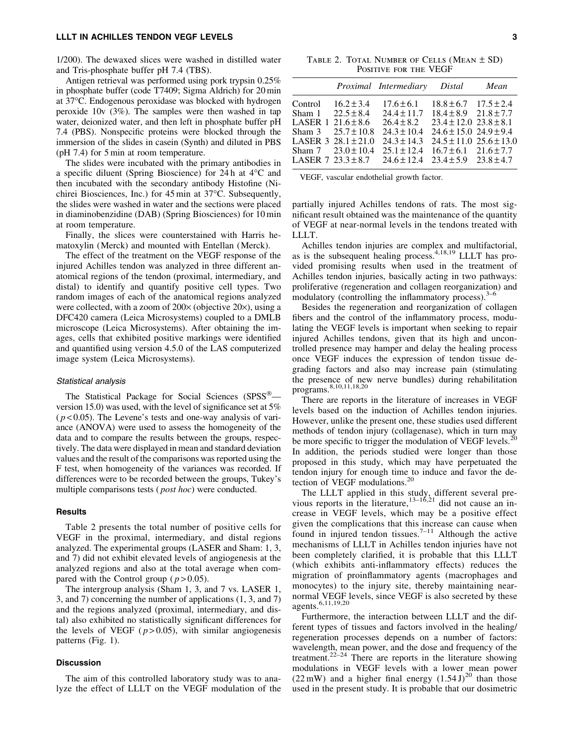## LLLT IN ACHILLES TENDON VEGF LEVELS 3

1/200). The dewaxed slices were washed in distilled water and Tris-phosphate buffer pH 7.4 (TBS).

Antigen retrieval was performed using pork trypsin 0.25% in phosphate buffer (code T7409; Sigma Aldrich) for 20 min at 37°C. Endogenous peroxidase was blocked with hydrogen peroxide 10v (3%). The samples were then washed in tap water, deionized water, and then left in phosphate buffer pH 7.4 (PBS). Nonspecific proteins were blocked through the immersion of the slides in casein (Synth) and diluted in PBS (pH 7.4) for 5 min at room temperature.

The slides were incubated with the primary antibodies in a specific diluent (Spring Bioscience) for  $24 h$  at  $4^{\circ}C$  and then incubated with the secondary antibody Histofine (Nichirei Biosciences, Inc.) for 45 min at 37°C. Subsequently, the slides were washed in water and the sections were placed in diaminobenzidine (DAB) (Spring Biosciences) for 10 min at room temperature.

Finally, the slices were counterstained with Harris hematoxylin (Merck) and mounted with Entellan (Merck).

The effect of the treatment on the VEGF response of the injured Achilles tendon was analyzed in three different anatomical regions of the tendon (proximal, intermediary, and distal) to identify and quantify positive cell types. Two random images of each of the anatomical regions analyzed were collected, with a zoom of  $200\times$  (objective  $20\times$ ), using a DFC420 camera (Leica Microsystems) coupled to a DMLB microscope (Leica Microsystems). After obtaining the images, cells that exhibited positive markings were identified and quantified using version 4.5.0 of the LAS computerized image system (Leica Microsystems).

#### Statistical analysis

The Statistical Package for Social Sciences (SPSS®version 15.0) was used, with the level of significance set at 5%  $(p<0.05)$ . The Levene's tests and one-way analysis of variance (ANOVA) were used to assess the homogeneity of the data and to compare the results between the groups, respectively. The data were displayed in mean and standard deviation values and the result of the comparisons was reported using the F test, when homogeneity of the variances was recorded. If differences were to be recorded between the groups, Tukey's multiple comparisons tests ( *post hoc*) were conducted.

# Results

Table 2 presents the total number of positive cells for VEGF in the proximal, intermediary, and distal regions analyzed. The experimental groups (LASER and Sham: 1, 3, and 7) did not exhibit elevated levels of angiogenesis at the analyzed regions and also at the total average when compared with the Control group ( $p > 0.05$ ).

The intergroup analysis (Sham 1, 3, and 7 vs. LASER 1, 3, and 7) concerning the number of applications (1, 3, and 7) and the regions analyzed (proximal, intermediary, and distal) also exhibited no statistically significant differences for the levels of VEGF  $(p>0.05)$ , with similar angiogenesis patterns (Fig. 1).

# Discussion

The aim of this controlled laboratory study was to analyze the effect of LLLT on the VEGF modulation of the

TABLE 2. TOTAL NUMBER OF CELLS (MEAN  $\pm$  SD) Positive for the VEGF

| $18.8 \pm 6.7$ $17.5 \pm 2.4$<br>$17.6 \pm 6.1$<br>Control $16.2 \pm 3.4$                                                                                                                                                                                                                                                                                                                                                                                             |  |
|-----------------------------------------------------------------------------------------------------------------------------------------------------------------------------------------------------------------------------------------------------------------------------------------------------------------------------------------------------------------------------------------------------------------------------------------------------------------------|--|
| Sham $1 \quad 22.5 \pm 8.4$<br>$24.4 \pm 11.7$ $18.4 \pm 8.9$ $21.8 \pm 7.7$<br>$23.4 \pm 12.0$ $23.8 \pm 8.1$<br>LASER $1\,21.6\pm8.6$<br>$26.4 \pm 8.2$<br>$24.6 \pm 15.0$ $24.9 \pm 9.4$<br>Sham $3 \quad 25.7 \pm 10.8$<br>$24.3 + 10.4$<br>$24.5 \pm 11.0$ $25.6 \pm 13.0$<br>LASER $3\,28.1 \pm 21.0$<br>$24.3 + 14.3$<br>Sham $7 \quad 23.0 \pm 10.4$<br>$25.1 \pm 12.4$ $16.7 \pm 6.1$ $21.6 \pm 7.7$<br>LASER 7 23.3 ± 8.7 24.6 ± 12.4 23.4 ± 5.9 23.8 ± 4.7 |  |

VEGF, vascular endothelial growth factor.

partially injured Achilles tendons of rats. The most significant result obtained was the maintenance of the quantity of VEGF at near-normal levels in the tendons treated with LLLT.

Achilles tendon injuries are complex and multifactorial, as is the subsequent healing process.4,18,19 LLLT has provided promising results when used in the treatment of Achilles tendon injuries, basically acting in two pathways: proliferative (regeneration and collagen reorganization) and modulatory (controlling the inflammatory process). $3-6$ 

Besides the regeneration and reorganization of collagen fibers and the control of the inflammatory process, modulating the VEGF levels is important when seeking to repair injured Achilles tendons, given that its high and uncontrolled presence may hamper and delay the healing process once VEGF induces the expression of tendon tissue degrading factors and also may increase pain (stimulating the presence of new nerve bundles) during rehabilitation programs.<sup>8,10,11,18,20</sup>

There are reports in the literature of increases in VEGF levels based on the induction of Achilles tendon injuries. However, unlike the present one, these studies used different methods of tendon injury (collagenase), which in turn may be more specific to trigger the modulation of VEGF levels.<sup>20</sup> In addition, the periods studied were longer than those proposed in this study, which may have perpetuated the tendon injury for enough time to induce and favor the detection of VEGF modulations.<sup>20</sup>

The LLLT applied in this study, different several previous reports in the literature,  $13-16,21$  did not cause an increase in VEGF levels, which may be a positive effect given the complications that this increase can cause when found in injured tendon tissues.<sup>7–11</sup> Although the active mechanisms of LLLT in Achilles tendon injuries have not been completely clarified, it is probable that this LLLT (which exhibits anti-inflammatory effects) reduces the migration of proinflammatory agents (macrophages and monocytes) to the injury site, thereby maintaining nearnormal VEGF levels, since VEGF is also secreted by these agents.<sup>6,11,19,20</sup>

Furthermore, the interaction between LLLT and the different types of tissues and factors involved in the healing/ regeneration processes depends on a number of factors: wavelength, mean power, and the dose and frequency of the treatment.<sup>22–24</sup> There are reports in the literature showing modulations in VEGF levels with a lower mean power  $(22 \text{ mW})$  and a higher final energy  $(1.54 \text{ J})^{20}$  than those used in the present study. It is probable that our dosimetric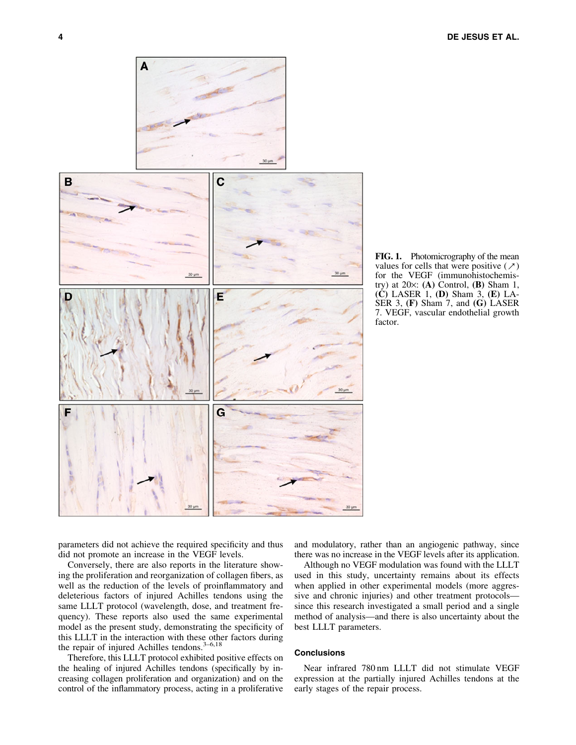

FIG. 1. Photomicrography of the mean values for cells that were positive  $(\nearrow)$ for the VEGF (immunohistochemistry) at  $20\times$ : (A) Control, (B) Sham 1,  $(C)$  LASER 1,  $(D)$  Sham 3,  $(E)$  LA-SER 3, (F) Sham 7, and (G) LASER 7. VEGF, vascular endothelial growth factor.

parameters did not achieve the required specificity and thus did not promote an increase in the VEGF levels.

Conversely, there are also reports in the literature showing the proliferation and reorganization of collagen fibers, as well as the reduction of the levels of proinflammatory and deleterious factors of injured Achilles tendons using the same LLLT protocol (wavelength, dose, and treatment frequency). These reports also used the same experimental model as the present study, demonstrating the specificity of this LLLT in the interaction with these other factors during the repair of injured Achilles tendons. $3-6,18$ 

Therefore, this LLLT protocol exhibited positive effects on the healing of injured Achilles tendons (specifically by increasing collagen proliferation and organization) and on the control of the inflammatory process, acting in a proliferative and modulatory, rather than an angiogenic pathway, since there was no increase in the VEGF levels after its application.

Although no VEGF modulation was found with the LLLT used in this study, uncertainty remains about its effects when applied in other experimental models (more aggressive and chronic injuries) and other treatment protocols since this research investigated a small period and a single method of analysis—and there is also uncertainty about the best LLLT parameters.

# **Conclusions**

Near infrared 780 nm LLLT did not stimulate VEGF expression at the partially injured Achilles tendons at the early stages of the repair process.